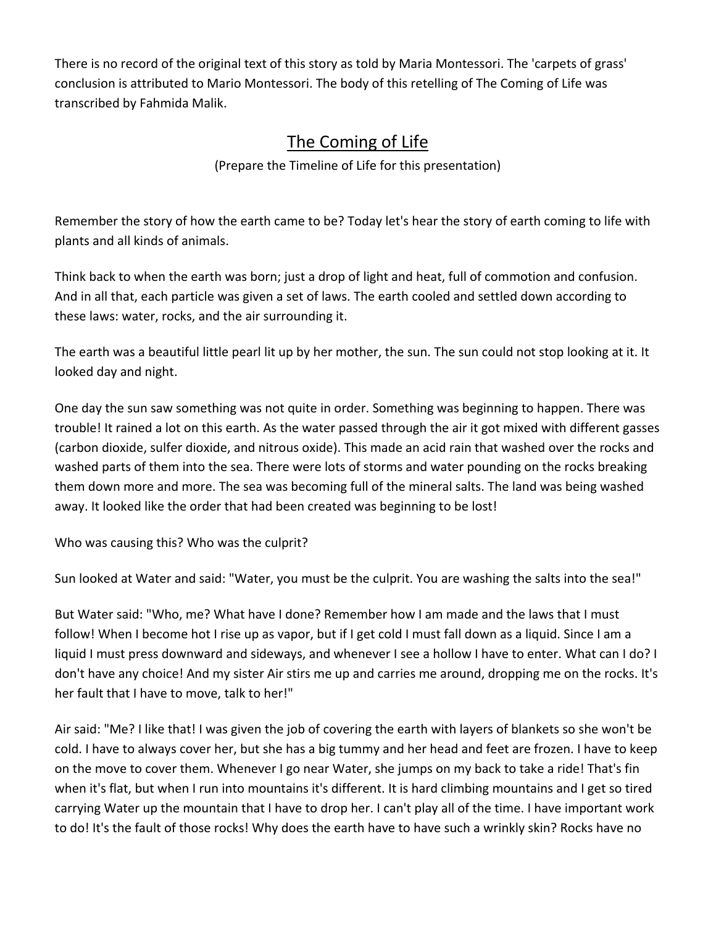There is no record of the original text of this story as told by Maria Montessori. The 'carpets of grass' conclusion is attributed to Mario Montessori. The body of this retelling of The Coming of Life was transcribed by Fahmida Malik.

## The Coming of Life

(Prepare the Timeline of Life for this presentation)

Remember the story of how the earth came to be? Today let's hear the story of earth coming to life with plants and all kinds of animals.

Think back to when the earth was born; just a drop of light and heat, full of commotion and confusion. And in all that, each particle was given a set of laws. The earth cooled and settled down according to these laws: water, rocks, and the air surrounding it.

The earth was a beautiful little pearl lit up by her mother, the sun. The sun could not stop looking at it. It looked day and night.

One day the sun saw something was not quite in order. Something was beginning to happen. There was trouble! It rained a lot on this earth. As the water passed through the air it got mixed with different gasses (carbon dioxide, sulfer dioxide, and nitrous oxide). This made an acid rain that washed over the rocks and washed parts of them into the sea. There were lots of storms and water pounding on the rocks breaking them down more and more. The sea was becoming full of the mineral salts. The land was being washed away. It looked like the order that had been created was beginning to be lost!

Who was causing this? Who was the culprit?

Sun looked at Water and said: "Water, you must be the culprit. You are washing the salts into the sea!"

But Water said: "Who, me? What have I done? Remember how I am made and the laws that I must follow! When I become hot I rise up as vapor, but if I get cold I must fall down as a liquid. Since I am a liquid I must press downward and sideways, and whenever I see a hollow I have to enter. What can I do? I don't have any choice! And my sister Air stirs me up and carries me around, dropping me on the rocks. It's her fault that I have to move, talk to her!"

Air said: "Me? I like that! I was given the job of covering the earth with layers of blankets so she won't be cold. I have to always cover her, but she has a big tummy and her head and feet are frozen. I have to keep on the move to cover them. Whenever I go near Water, she jumps on my back to take a ride! That's fin when it's flat, but when I run into mountains it's different. It is hard climbing mountains and I get so tired carrying Water up the mountain that I have to drop her. I can't play all of the time. I have important work to do! It's the fault of those rocks! Why does the earth have to have such a wrinkly skin? Rocks have no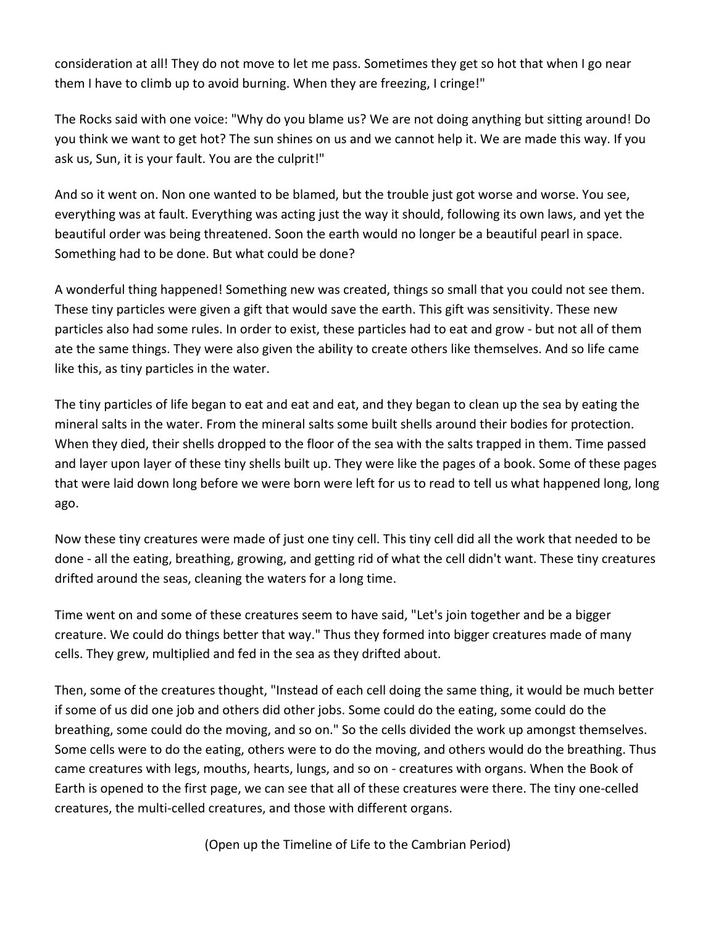consideration at all! They do not move to let me pass. Sometimes they get so hot that when I go near them I have to climb up to avoid burning. When they are freezing, I cringe!"

The Rocks said with one voice: "Why do you blame us? We are not doing anything but sitting around! Do you think we want to get hot? The sun shines on us and we cannot help it. We are made this way. If you ask us, Sun, it is your fault. You are the culprit!"

And so it went on. Non one wanted to be blamed, but the trouble just got worse and worse. You see, everything was at fault. Everything was acting just the way it should, following its own laws, and yet the beautiful order was being threatened. Soon the earth would no longer be a beautiful pearl in space. Something had to be done. But what could be done?

A wonderful thing happened! Something new was created, things so small that you could not see them. These tiny particles were given a gift that would save the earth. This gift was sensitivity. These new particles also had some rules. In order to exist, these particles had to eat and grow - but not all of them ate the same things. They were also given the ability to create others like themselves. And so life came like this, as tiny particles in the water.

The tiny particles of life began to eat and eat and eat, and they began to clean up the sea by eating the mineral salts in the water. From the mineral salts some built shells around their bodies for protection. When they died, their shells dropped to the floor of the sea with the salts trapped in them. Time passed and layer upon layer of these tiny shells built up. They were like the pages of a book. Some of these pages that were laid down long before we were born were left for us to read to tell us what happened long, long ago.

Now these tiny creatures were made of just one tiny cell. This tiny cell did all the work that needed to be done - all the eating, breathing, growing, and getting rid of what the cell didn't want. These tiny creatures drifted around the seas, cleaning the waters for a long time.

Time went on and some of these creatures seem to have said, "Let's join together and be a bigger creature. We could do things better that way." Thus they formed into bigger creatures made of many cells. They grew, multiplied and fed in the sea as they drifted about.

Then, some of the creatures thought, "Instead of each cell doing the same thing, it would be much better if some of us did one job and others did other jobs. Some could do the eating, some could do the breathing, some could do the moving, and so on." So the cells divided the work up amongst themselves. Some cells were to do the eating, others were to do the moving, and others would do the breathing. Thus came creatures with legs, mouths, hearts, lungs, and so on - creatures with organs. When the Book of Earth is opened to the first page, we can see that all of these creatures were there. The tiny one-celled creatures, the multi-celled creatures, and those with different organs.

(Open up the Timeline of Life to the Cambrian Period)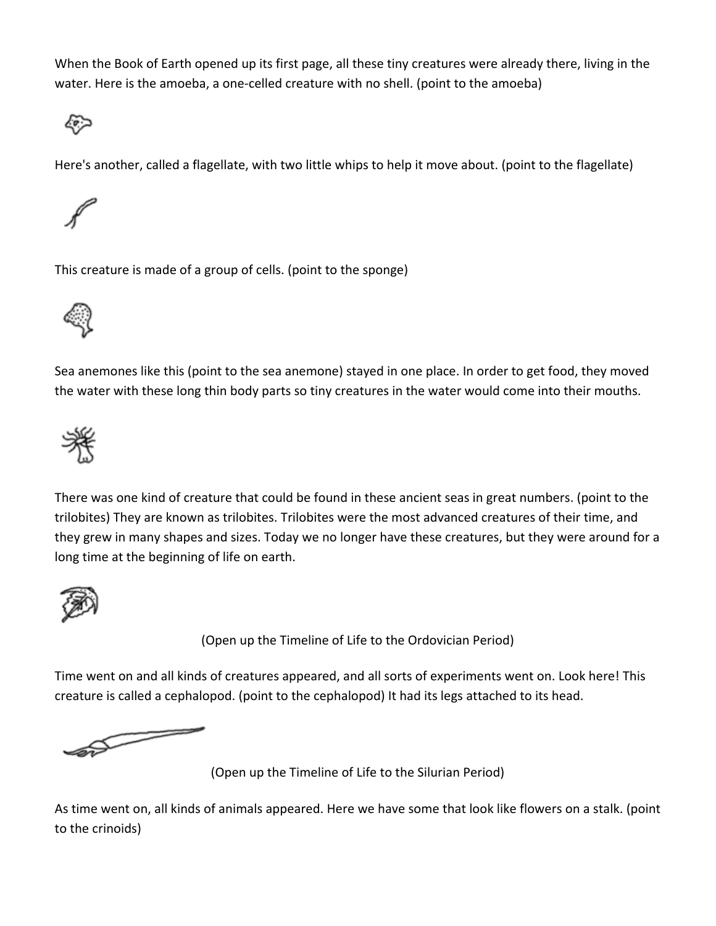When the Book of Earth opened up its first page, all these tiny creatures were already there, living in the water. Here is the amoeba, a one-celled creature with no shell. (point to the amoeba)



Here's another, called a flagellate, with two little whips to help it move about. (point to the flagellate)



This creature is made of a group of cells. (point to the sponge)



Sea anemones like this (point to the sea anemone) stayed in one place. In order to get food, they moved the water with these long thin body parts so tiny creatures in the water would come into their mouths.



There was one kind of creature that could be found in these ancient seas in great numbers. (point to the trilobites) They are known as trilobites. Trilobites were the most advanced creatures of their time, and they grew in many shapes and sizes. Today we no longer have these creatures, but they were around for a long time at the beginning of life on earth.



(Open up the Timeline of Life to the Ordovician Period)

Time went on and all kinds of creatures appeared, and all sorts of experiments went on. Look here! This creature is called a cephalopod. (point to the cephalopod) It had its legs attached to its head.

**Separate Separate Separate Separate** 

(Open up the Timeline of Life to the Silurian Period)

As time went on, all kinds of animals appeared. Here we have some that look like flowers on a stalk. (point to the crinoids)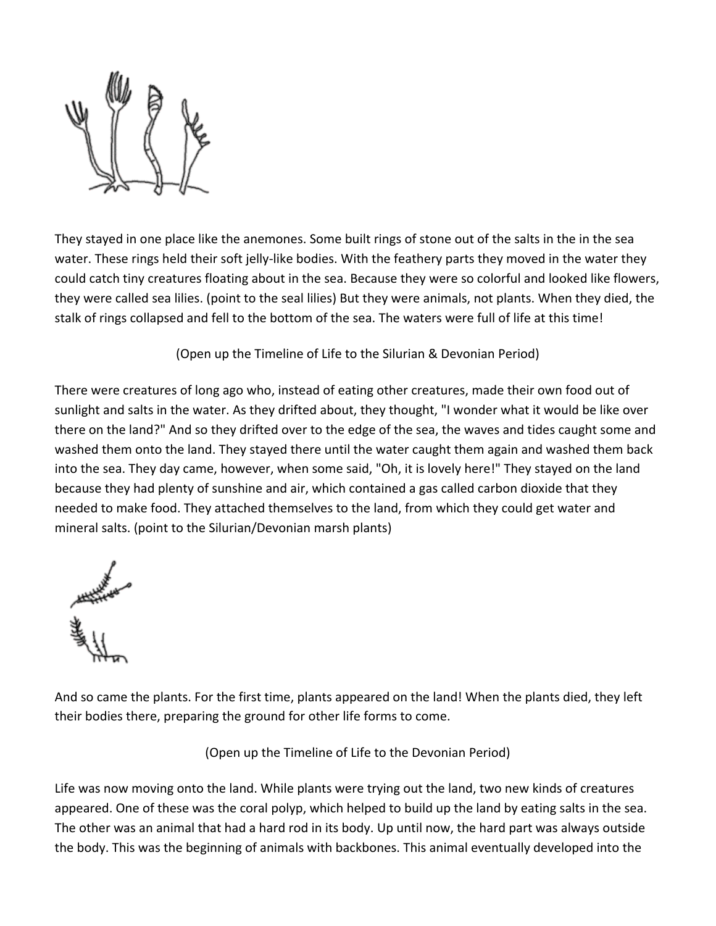

They stayed in one place like the anemones. Some built rings of stone out of the salts in the in the sea water. These rings held their soft jelly-like bodies. With the feathery parts they moved in the water they could catch tiny creatures floating about in the sea. Because they were so colorful and looked like flowers, they were called sea lilies. (point to the seal lilies) But they were animals, not plants. When they died, the stalk of rings collapsed and fell to the bottom of the sea. The waters were full of life at this time!

(Open up the Timeline of Life to the Silurian & Devonian Period)

There were creatures of long ago who, instead of eating other creatures, made their own food out of sunlight and salts in the water. As they drifted about, they thought, "I wonder what it would be like over there on the land?" And so they drifted over to the edge of the sea, the waves and tides caught some and washed them onto the land. They stayed there until the water caught them again and washed them back into the sea. They day came, however, when some said, "Oh, it is lovely here!" They stayed on the land because they had plenty of sunshine and air, which contained a gas called carbon dioxide that they needed to make food. They attached themselves to the land, from which they could get water and mineral salts. (point to the Silurian/Devonian marsh plants)

And so came the plants. For the first time, plants appeared on the land! When the plants died, they left their bodies there, preparing the ground for other life forms to come.

(Open up the Timeline of Life to the Devonian Period)

Life was now moving onto the land. While plants were trying out the land, two new kinds of creatures appeared. One of these was the coral polyp, which helped to build up the land by eating salts in the sea. The other was an animal that had a hard rod in its body. Up until now, the hard part was always outside the body. This was the beginning of animals with backbones. This animal eventually developed into the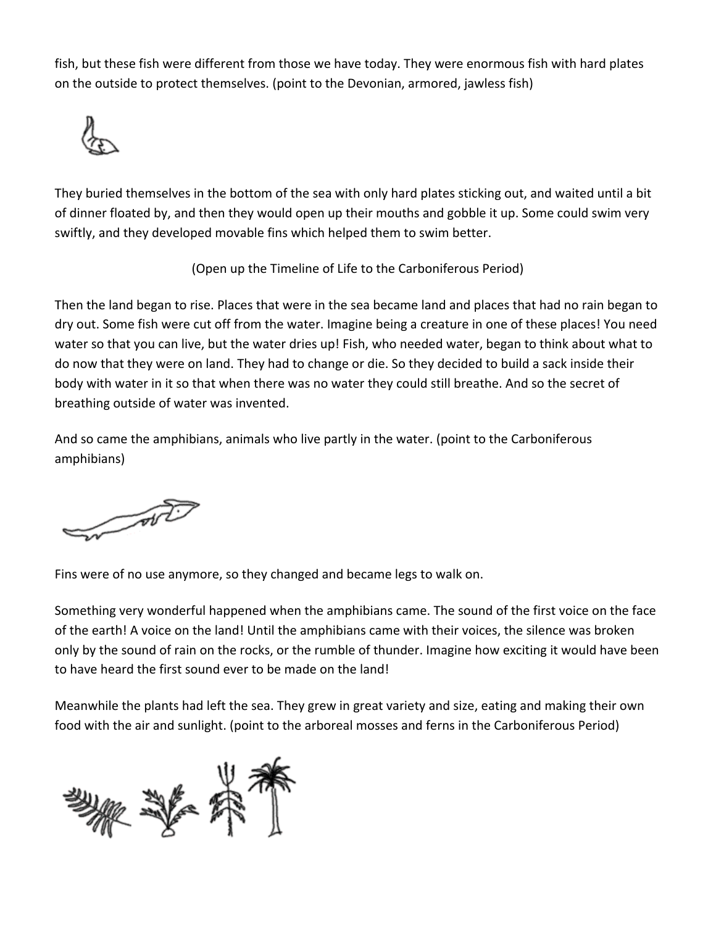fish, but these fish were different from those we have today. They were enormous fish with hard plates on the outside to protect themselves. (point to the Devonian, armored, jawless fish)



They buried themselves in the bottom of the sea with only hard plates sticking out, and waited until a bit of dinner floated by, and then they would open up their mouths and gobble it up. Some could swim very swiftly, and they developed movable fins which helped them to swim better.

(Open up the Timeline of Life to the Carboniferous Period)

Then the land began to rise. Places that were in the sea became land and places that had no rain began to dry out. Some fish were cut off from the water. Imagine being a creature in one of these places! You need water so that you can live, but the water dries up! Fish, who needed water, began to think about what to do now that they were on land. They had to change or die. So they decided to build a sack inside their body with water in it so that when there was no water they could still breathe. And so the secret of breathing outside of water was invented.

And so came the amphibians, animals who live partly in the water. (point to the Carboniferous amphibians)

AND OF THE OWNER.

Fins were of no use anymore, so they changed and became legs to walk on.

Something very wonderful happened when the amphibians came. The sound of the first voice on the face of the earth! A voice on the land! Until the amphibians came with their voices, the silence was broken only by the sound of rain on the rocks, or the rumble of thunder. Imagine how exciting it would have been to have heard the first sound ever to be made on the land!

Meanwhile the plants had left the sea. They grew in great variety and size, eating and making their own food with the air and sunlight. (point to the arboreal mosses and ferns in the Carboniferous Period)

搬奖养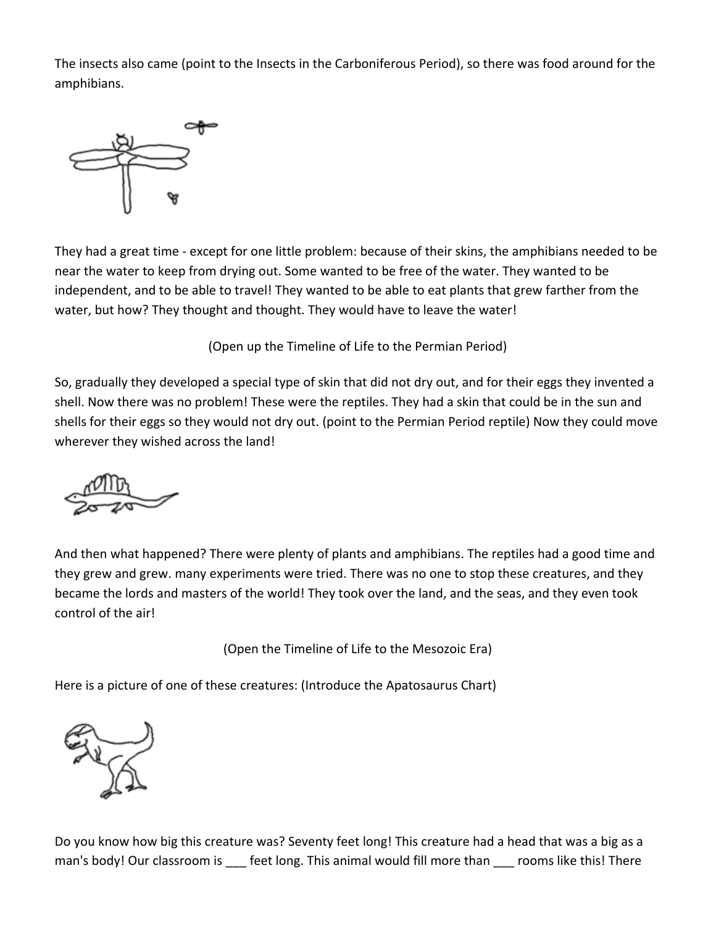The insects also came (point to the Insects in the Carboniferous Period), so there was food around for the amphibians.



They had a great time - except for one little problem: because of their skins, the amphibians needed to be near the water to keep from drying out. Some wanted to be free of the water. They wanted to be independent, and to be able to travel! They wanted to be able to eat plants that grew farther from the water, but how? They thought and thought. They would have to leave the water!

(Open up the Timeline of Life to the Permian Period)

So, gradually they developed a special type of skin that did not dry out, and for their eggs they invented a shell. Now there was no problem! These were the reptiles. They had a skin that could be in the sun and shells for their eggs so they would not dry out. (point to the Permian Period reptile) Now they could move wherever they wished across the land!



And then what happened? There were plenty of plants and amphibians. The reptiles had a good time and they grew and grew. many experiments were tried. There was no one to stop these creatures, and they became the lords and masters of the world! They took over the land, and the seas, and they even took control of the air!

(Open the Timeline of Life to the Mesozoic Era)

Here is a picture of one of these creatures: (Introduce the Apatosaurus Chart)



Do you know how big this creature was? Seventy feet long! This creature had a head that was a big as a man's body! Our classroom is \_\_\_ feet long. This animal would fill more than \_\_\_ rooms like this! There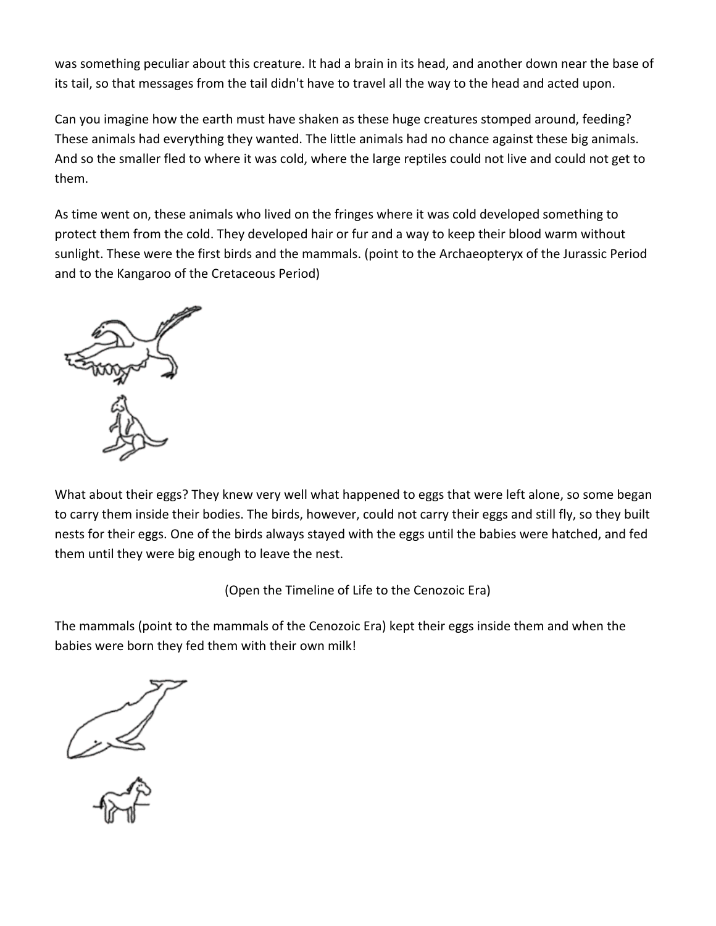was something peculiar about this creature. It had a brain in its head, and another down near the base of its tail, so that messages from the tail didn't have to travel all the way to the head and acted upon.

Can you imagine how the earth must have shaken as these huge creatures stomped around, feeding? These animals had everything they wanted. The little animals had no chance against these big animals. And so the smaller fled to where it was cold, where the large reptiles could not live and could not get to them.

As time went on, these animals who lived on the fringes where it was cold developed something to protect them from the cold. They developed hair or fur and a way to keep their blood warm without sunlight. These were the first birds and the mammals. (point to the Archaeopteryx of the Jurassic Period and to the Kangaroo of the Cretaceous Period)



What about their eggs? They knew very well what happened to eggs that were left alone, so some began to carry them inside their bodies. The birds, however, could not carry their eggs and still fly, so they built nests for their eggs. One of the birds always stayed with the eggs until the babies were hatched, and fed them until they were big enough to leave the nest.

(Open the Timeline of Life to the Cenozoic Era)

The mammals (point to the mammals of the Cenozoic Era) kept their eggs inside them and when the babies were born they fed them with their own milk!